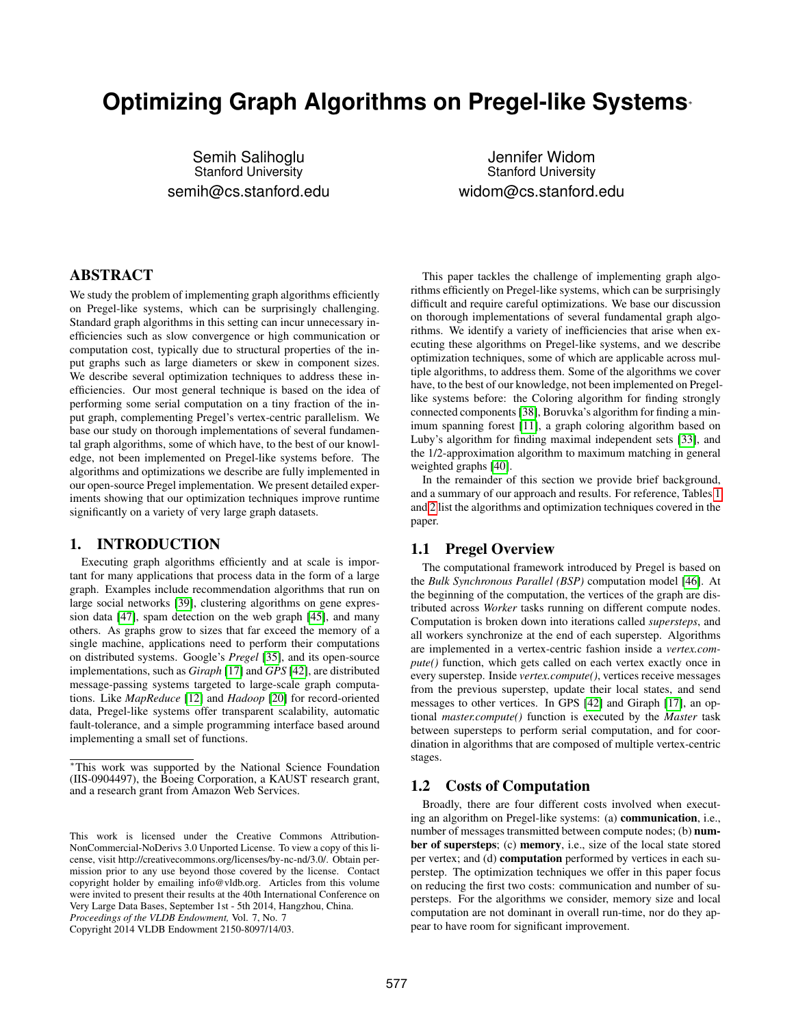# **Optimizing Graph Algorithms on Pregel-like Systems**<sup>∗</sup>

Semih Salihoglu Stanford University semih@cs.stanford.edu

Jennifer Widom Stanford University widom@cs.stanford.edu

### ABSTRACT

We study the problem of implementing graph algorithms efficiently on Pregel-like systems, which can be surprisingly challenging. Standard graph algorithms in this setting can incur unnecessary inefficiencies such as slow convergence or high communication or computation cost, typically due to structural properties of the input graphs such as large diameters or skew in component sizes. We describe several optimization techniques to address these inefficiencies. Our most general technique is based on the idea of performing some serial computation on a tiny fraction of the input graph, complementing Pregel's vertex-centric parallelism. We base our study on thorough implementations of several fundamental graph algorithms, some of which have, to the best of our knowledge, not been implemented on Pregel-like systems before. The algorithms and optimizations we describe are fully implemented in our open-source Pregel implementation. We present detailed experiments showing that our optimization techniques improve runtime significantly on a variety of very large graph datasets.

### 1. INTRODUCTION

Executing graph algorithms efficiently and at scale is important for many applications that process data in the form of a large graph. Examples include recommendation algorithms that run on large social networks [\[39\]](#page-11-0), clustering algorithms on gene expression data [\[47\]](#page-11-1), spam detection on the web graph [\[45\]](#page-11-2), and many others. As graphs grow to sizes that far exceed the memory of a single machine, applications need to perform their computations on distributed systems. Google's *Pregel* [\[35\]](#page-11-3), and its open-source implementations, such as *Giraph* [\[17\]](#page-11-4) and *GPS* [\[42\]](#page-11-5), are distributed message-passing systems targeted to large-scale graph computations. Like *MapReduce* [\[12\]](#page-11-6) and *Hadoop* [\[20\]](#page-11-7) for record-oriented data, Pregel-like systems offer transparent scalability, automatic fault-tolerance, and a simple programming interface based around implementing a small set of functions.

Copyright 2014 VLDB Endowment 2150-8097/14/03.

This paper tackles the challenge of implementing graph algorithms efficiently on Pregel-like systems, which can be surprisingly difficult and require careful optimizations. We base our discussion on thorough implementations of several fundamental graph algorithms. We identify a variety of inefficiencies that arise when executing these algorithms on Pregel-like systems, and we describe optimization techniques, some of which are applicable across multiple algorithms, to address them. Some of the algorithms we cover have, to the best of our knowledge, not been implemented on Pregellike systems before: the Coloring algorithm for finding strongly connected components [\[38\]](#page-11-8), Boruvka's algorithm for finding a minimum spanning forest [\[11\]](#page-11-9), a graph coloring algorithm based on Luby's algorithm for finding maximal independent sets [\[33\]](#page-11-10), and the 1/2-approximation algorithm to maximum matching in general weighted graphs [\[40\]](#page-11-11).

In the remainder of this section we provide brief background, and a summary of our approach and results. For reference, Tables [1](#page-1-0) and [2](#page-1-1) list the algorithms and optimization techniques covered in the paper.

#### 1.1 Pregel Overview

The computational framework introduced by Pregel is based on the *Bulk Synchronous Parallel (BSP)* computation model [\[46\]](#page-11-12). At the beginning of the computation, the vertices of the graph are distributed across *Worker* tasks running on different compute nodes. Computation is broken down into iterations called *supersteps*, and all workers synchronize at the end of each superstep. Algorithms are implemented in a vertex-centric fashion inside a *vertex.compute()* function, which gets called on each vertex exactly once in every superstep. Inside *vertex.compute()*, vertices receive messages from the previous superstep, update their local states, and send messages to other vertices. In GPS [\[42\]](#page-11-5) and Giraph [\[17\]](#page-11-4), an optional *master.compute()* function is executed by the *Master* task between supersteps to perform serial computation, and for coordination in algorithms that are composed of multiple vertex-centric stages.

#### 1.2 Costs of Computation

Broadly, there are four different costs involved when executing an algorithm on Pregel-like systems: (a) communication, i.e., number of messages transmitted between compute nodes; (b) number of supersteps; (c) memory, i.e., size of the local state stored per vertex; and (d) computation performed by vertices in each superstep. The optimization techniques we offer in this paper focus on reducing the first two costs: communication and number of supersteps. For the algorithms we consider, memory size and local computation are not dominant in overall run-time, nor do they appear to have room for significant improvement.

<sup>∗</sup>This work was supported by the National Science Foundation (IIS-0904497), the Boeing Corporation, a KAUST research grant, and a research grant from Amazon Web Services.

This work is licensed under the Creative Commons Attribution-NonCommercial-NoDerivs 3.0 Unported License. To view a copy of this license, visit http://creativecommons.org/licenses/by-nc-nd/3.0/. Obtain permission prior to any use beyond those covered by the license. Contact copyright holder by emailing info@vldb.org. Articles from this volume were invited to present their results at the 40th International Conference on Very Large Data Bases, September 1st - 5th 2014, Hangzhou, China. *Proceedings of the VLDB Endowment,* Vol. 7, No. 7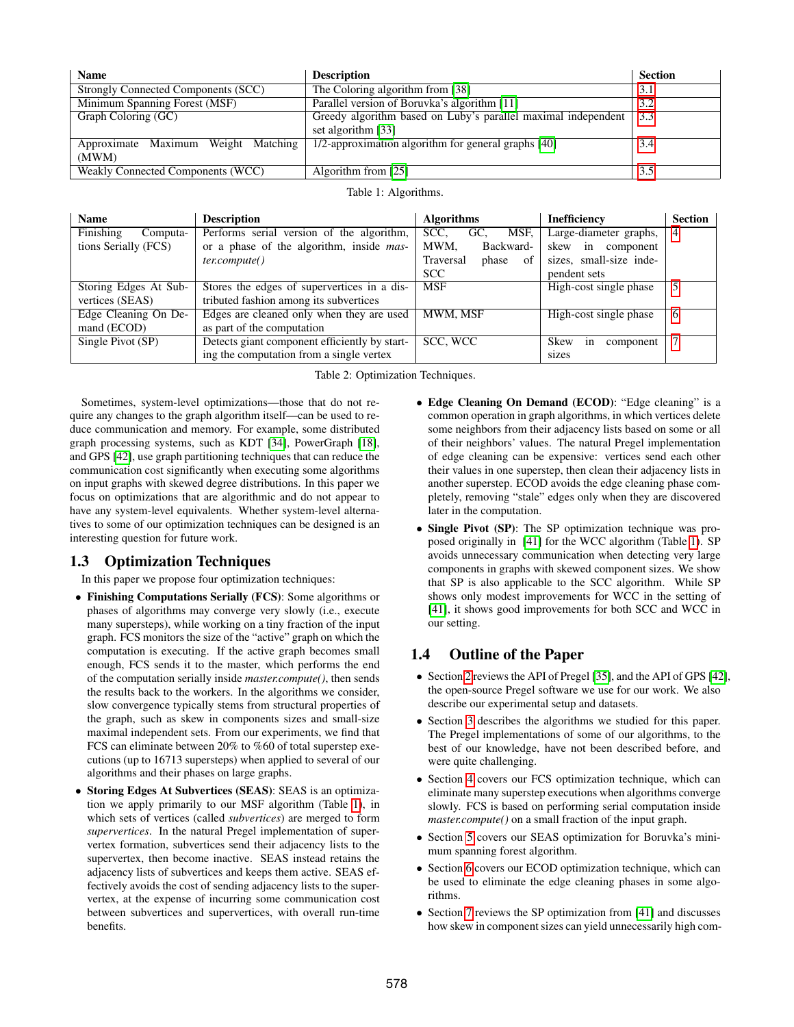<span id="page-1-0"></span>

| <b>Name</b>                         | <b>Description</b>                                            | <b>Section</b> |
|-------------------------------------|---------------------------------------------------------------|----------------|
| Strongly Connected Components (SCC) | The Coloring algorithm from [38]                              | 3.1            |
| Minimum Spanning Forest (MSF)       | Parallel version of Boruvka's algorithm [11]                  | 3.2            |
| Graph Coloring (GC)                 | Greedy algorithm based on Luby's parallel maximal independent | 3.3            |
|                                     | set algorithm [33]                                            |                |
| Approximate Maximum Weight Matching | 1/2-approximation algorithm for general graphs [40]           | 3.4            |
| (MWM)                               |                                                               |                |
| Weakly Connected Components (WCC)   | Algorithm from [25]                                           | 3.5            |

Table 1: Algorithms.

<span id="page-1-1"></span>

| <b>Name</b>                                                       | <b>Description</b>                               | <b>Algorithms</b>        | <b>Inefficiency</b>            | <b>Section</b> |
|-------------------------------------------------------------------|--------------------------------------------------|--------------------------|--------------------------------|----------------|
| Finishing<br>Computa-                                             | Performs serial version of the algorithm,        | SCC.<br>GC.<br>MSF.      | Large-diameter graphs,         | 4              |
| tions Serially (FCS)                                              | or a phase of the algorithm, inside <i>mas</i> - | MWM.<br>Backward-        | in component<br>skew           |                |
|                                                                   | <i>ter.compute()</i>                             | Traversal<br>phase<br>of | sizes, small-size inde-        |                |
|                                                                   |                                                  | <b>SCC</b>               | pendent sets                   |                |
| Storing Edges At Sub-                                             | Stores the edges of supervertices in a dis-      | <b>MSF</b>               | High-cost single phase         | 5              |
| tributed fashion among its subvertices<br>vertices (SEAS)         |                                                  |                          |                                |                |
| Edges are cleaned only when they are used<br>Edge Cleaning On De- |                                                  | MWM, MSF                 | High-cost single phase         | 6              |
| as part of the computation<br>mand (ECOD)                         |                                                  |                          |                                |                |
| Single Pivot (SP)                                                 | Detects giant component efficiently by start-    |                          | <b>Skew</b><br>1n<br>component |                |
|                                                                   | ing the computation from a single vertex         |                          | sizes                          |                |

Table 2: Optimization Techniques.

Sometimes, system-level optimizations—those that do not require any changes to the graph algorithm itself—can be used to reduce communication and memory. For example, some distributed graph processing systems, such as KDT [\[34\]](#page-11-14), PowerGraph [\[18\]](#page-11-15), and GPS [\[42\]](#page-11-5), use graph partitioning techniques that can reduce the communication cost significantly when executing some algorithms on input graphs with skewed degree distributions. In this paper we focus on optimizations that are algorithmic and do not appear to have any system-level equivalents. Whether system-level alternatives to some of our optimization techniques can be designed is an interesting question for future work.

# 1.3 Optimization Techniques

In this paper we propose four optimization techniques:

- Finishing Computations Serially (FCS): Some algorithms or phases of algorithms may converge very slowly (i.e., execute many supersteps), while working on a tiny fraction of the input graph. FCS monitors the size of the "active" graph on which the computation is executing. If the active graph becomes small enough, FCS sends it to the master, which performs the end of the computation serially inside *master.compute()*, then sends the results back to the workers. In the algorithms we consider, slow convergence typically stems from structural properties of the graph, such as skew in components sizes and small-size maximal independent sets. From our experiments, we find that FCS can eliminate between 20% to %60 of total superstep executions (up to 16713 supersteps) when applied to several of our algorithms and their phases on large graphs.
- Storing Edges At Subvertices (SEAS): SEAS is an optimization we apply primarily to our MSF algorithm (Table [1\)](#page-1-0), in which sets of vertices (called *subvertices*) are merged to form *supervertices*. In the natural Pregel implementation of supervertex formation, subvertices send their adjacency lists to the supervertex, then become inactive. SEAS instead retains the adjacency lists of subvertices and keeps them active. SEAS effectively avoids the cost of sending adjacency lists to the supervertex, at the expense of incurring some communication cost between subvertices and supervertices, with overall run-time benefits.
- Edge Cleaning On Demand (ECOD): "Edge cleaning" is a common operation in graph algorithms, in which vertices delete some neighbors from their adjacency lists based on some or all of their neighbors' values. The natural Pregel implementation of edge cleaning can be expensive: vertices send each other their values in one superstep, then clean their adjacency lists in another superstep. ECOD avoids the edge cleaning phase completely, removing "stale" edges only when they are discovered later in the computation.
- Single Pivot (SP): The SP optimization technique was proposed originally in [\[41\]](#page-11-16) for the WCC algorithm (Table [1\)](#page-1-0). SP avoids unnecessary communication when detecting very large components in graphs with skewed component sizes. We show that SP is also applicable to the SCC algorithm. While SP shows only modest improvements for WCC in the setting of [\[41\]](#page-11-16), it shows good improvements for both SCC and WCC in our setting.

# 1.4 Outline of the Paper

- Section [2](#page-2-0) reviews the API of Pregel [\[35\]](#page-11-3), and the API of GPS [\[42\]](#page-11-5), the open-source Pregel software we use for our work. We also describe our experimental setup and datasets.
- Section [3](#page-2-1) describes the algorithms we studied for this paper. The Pregel implementations of some of our algorithms, to the best of our knowledge, have not been described before, and were quite challenging.
- Section [4](#page-5-2) covers our FCS optimization technique, which can eliminate many superstep executions when algorithms converge slowly. FCS is based on performing serial computation inside *master.compute()* on a small fraction of the input graph.
- Section [5](#page-7-0) covers our SEAS optimization for Boruvka's minimum spanning forest algorithm.
- Section [6](#page-8-0) covers our ECOD optimization technique, which can be used to eliminate the edge cleaning phases in some algorithms.
- Section [7](#page-9-0) reviews the SP optimization from [\[41\]](#page-11-16) and discusses how skew in component sizes can yield unnecessarily high com-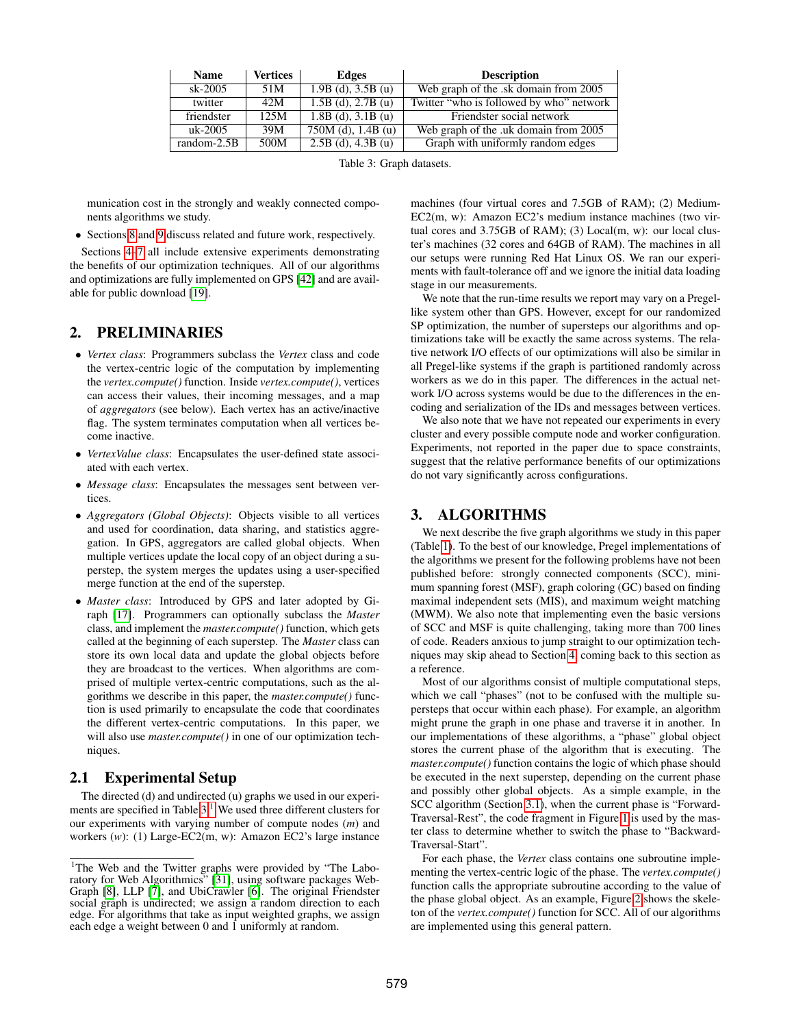<span id="page-2-2"></span>

| <b>Name</b> | <b>Vertices</b> | Edges                  | <b>Description</b>                       |
|-------------|-----------------|------------------------|------------------------------------------|
| $sk-2005$   | 51M             | $1.9B$ (d), $3.5B$ (u) | Web graph of the .sk domain from 2005    |
| twitter     | 42M             | $1.5B$ (d), $2.7B$ (u) | Twitter "who is followed by who" network |
| friendster  | 125M            | $1.8B$ (d), $3.1B$ (u) | Friendster social network                |
| uk-2005     | 39M             | $750M$ (d), 1.4B (u)   | Web graph of the .uk domain from 2005    |
| random-2.5B | 500M            | $2.5B$ (d), $4.3B$ (u) | Graph with uniformly random edges        |

Table 3: Graph datasets.

munication cost in the strongly and weakly connected components algorithms we study.

• Sections [8](#page-10-0) and [9](#page-10-1) discuss related and future work, respectively.

Sections [4](#page-5-2)[–7](#page-9-0) all include extensive experiments demonstrating the benefits of our optimization techniques. All of our algorithms and optimizations are fully implemented on GPS [\[42\]](#page-11-5) and are available for public download [\[19\]](#page-11-17).

### <span id="page-2-0"></span>2. PRELIMINARIES

- *Vertex class*: Programmers subclass the *Vertex* class and code the vertex-centric logic of the computation by implementing the *vertex.compute()* function. Inside *vertex.compute()*, vertices can access their values, their incoming messages, and a map of *aggregators* (see below). Each vertex has an active/inactive flag. The system terminates computation when all vertices become inactive.
- *VertexValue class*: Encapsulates the user-defined state associated with each vertex.
- *Message class*: Encapsulates the messages sent between vertices.
- *Aggregators (Global Objects)*: Objects visible to all vertices and used for coordination, data sharing, and statistics aggregation. In GPS, aggregators are called global objects. When multiple vertices update the local copy of an object during a superstep, the system merges the updates using a user-specified merge function at the end of the superstep.
- *Master class*: Introduced by GPS and later adopted by Giraph [\[17\]](#page-11-4). Programmers can optionally subclass the *Master* class, and implement the *master.compute()* function, which gets called at the beginning of each superstep. The *Master* class can store its own local data and update the global objects before they are broadcast to the vertices. When algorithms are comprised of multiple vertex-centric computations, such as the algorithms we describe in this paper, the *master.compute()* function is used primarily to encapsulate the code that coordinates the different vertex-centric computations. In this paper, we will also use *master.compute()* in one of our optimization techniques.

### 2.1 Experimental Setup

The directed (d) and undirected (u) graphs we used in our experiments are specified in Table  $3<sup>1</sup>$  $3<sup>1</sup>$  $3<sup>1</sup>$ . We used three different clusters for our experiments with varying number of compute nodes (*m*) and workers (*w*): (1) Large-EC2(m, w): Amazon EC2's large instance

machines (four virtual cores and 7.5GB of RAM); (2) Medium-EC2(m, w): Amazon EC2's medium instance machines (two virtual cores and 3.75GB of RAM); (3) Local(m, w): our local cluster's machines (32 cores and 64GB of RAM). The machines in all our setups were running Red Hat Linux OS. We ran our experiments with fault-tolerance off and we ignore the initial data loading stage in our measurements.

We note that the run-time results we report may vary on a Pregellike system other than GPS. However, except for our randomized SP optimization, the number of supersteps our algorithms and optimizations take will be exactly the same across systems. The relative network I/O effects of our optimizations will also be similar in all Pregel-like systems if the graph is partitioned randomly across workers as we do in this paper. The differences in the actual network I/O across systems would be due to the differences in the encoding and serialization of the IDs and messages between vertices.

We also note that we have not repeated our experiments in every cluster and every possible compute node and worker configuration. Experiments, not reported in the paper due to space constraints, suggest that the relative performance benefits of our optimizations do not vary significantly across configurations.

### <span id="page-2-1"></span>3. ALGORITHMS

We next describe the five graph algorithms we study in this paper (Table [1\)](#page-1-0). To the best of our knowledge, Pregel implementations of the algorithms we present for the following problems have not been published before: strongly connected components (SCC), minimum spanning forest (MSF), graph coloring (GC) based on finding maximal independent sets (MIS), and maximum weight matching (MWM). We also note that implementing even the basic versions of SCC and MSF is quite challenging, taking more than 700 lines of code. Readers anxious to jump straight to our optimization techniques may skip ahead to Section [4,](#page-5-2) coming back to this section as a reference.

Most of our algorithms consist of multiple computational steps, which we call "phases" (not to be confused with the multiple supersteps that occur within each phase). For example, an algorithm might prune the graph in one phase and traverse it in another. In our implementations of these algorithms, a "phase" global object stores the current phase of the algorithm that is executing. The *master.compute()* function contains the logic of which phase should be executed in the next superstep, depending on the current phase and possibly other global objects. As a simple example, in the SCC algorithm (Section [3.1\)](#page-3-0), when the current phase is "Forward-Traversal-Rest", the code fragment in Figure [1](#page-3-2) is used by the master class to determine whether to switch the phase to "Backward-Traversal-Start".

For each phase, the *Vertex* class contains one subroutine implementing the vertex-centric logic of the phase. The *vertex.compute()* function calls the appropriate subroutine according to the value of the phase global object. As an example, Figure [2](#page-3-3) shows the skeleton of the *vertex.compute()* function for SCC. All of our algorithms are implemented using this general pattern.

<span id="page-2-3"></span><sup>&</sup>lt;sup>1</sup>The Web and the Twitter graphs were provided by "The Laboratory for Web Algorithmics" [\[31\]](#page-11-18), using software packages Web-Graph [\[8\]](#page-11-19), LLP [\[7\]](#page-11-20), and UbiCrawler [\[6\]](#page-11-21). The original Friendster social graph is undirected; we assign a random direction to each edge. For algorithms that take as input weighted graphs, we assign each edge a weight between 0 and 1 uniformly at random.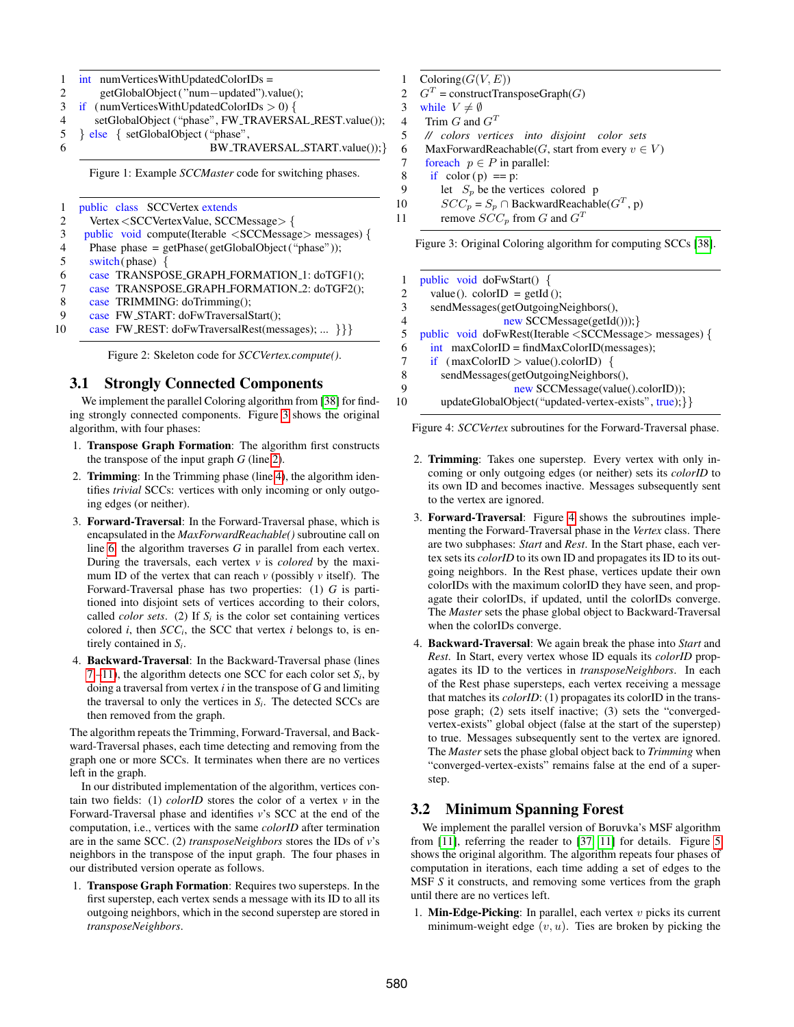<span id="page-3-2"></span>

|   | $int$ numVerticesWithUpdatedColorIDs =                |
|---|-------------------------------------------------------|
| 2 | getGlobalObject ("num-updated").value();              |
|   | if (numVerticesWithUpdatedColorIDs $> 0$ ) {          |
|   | setGlobalObject ("phase", FW_TRAVERSAL_REST.value()); |
|   | } else { setGlobalObject ("phase",                    |
|   | BW_TRAVERSAL_START.value());}                         |

<span id="page-3-3"></span>

| 1 | public class SCCVertex extends                                           |
|---|--------------------------------------------------------------------------|
| 2 | Vertex <sccvertexvalue, sccmessage=""> {</sccvertexvalue,>               |
| 3 | public void compute (Iterable $\langle$ SCCMessage $\rangle$ messages) { |
| 4 | Phase phase = $getPhase(getGlobalObject("phase"))$ ;                     |
| 5 | switch (phase) $\{$                                                      |
| 6 | case TRANSPOSE_GRAPH_FORMATION_1: doTGF1();                              |
| 7 | case TRANSPOSE_GRAPH_FORMATION_2: doTGF2();                              |
| 8 | case TRIMMING: doTrimming();                                             |
| 9 | case FW_START: doFwTraversalStart();                                     |
|   | ,,,,                                                                     |

10 case FW\_REST: doFwTraversalRest(messages); ... }}}

Figure 2: Skeleton code for *SCCVertex.compute()*.

### <span id="page-3-0"></span>3.1 Strongly Connected Components

We implement the parallel Coloring algorithm from [\[38\]](#page-11-8) for finding strongly connected components. Figure [3](#page-3-4) shows the original algorithm, with four phases:

- 1. Transpose Graph Formation: The algorithm first constructs the transpose of the input graph *G* (line [2\)](#page-3-5).
- 2. Trimming: In the Trimming phase (line [4\)](#page-3-6), the algorithm identifies *trivial* SCCs: vertices with only incoming or only outgoing edges (or neither).
- 3. Forward-Traversal: In the Forward-Traversal phase, which is encapsulated in the *MaxForwardReachable()* subroutine call on line [6,](#page-3-7) the algorithm traverses *G* in parallel from each vertex. During the traversals, each vertex *v* is *colored* by the maximum ID of the vertex that can reach *v* (possibly *v* itself). The Forward-Traversal phase has two properties: (1) *G* is partitioned into disjoint sets of vertices according to their colors, called *color sets.* (2) If  $S_i$  is the color set containing vertices colored *i*, then  $SCC_i$ , the SCC that vertex *i* belongs to, is entirely contained in *Si*.
- 4. Backward-Traversal: In the Backward-Traversal phase (lines [7](#page-3-8) [–11\)](#page-3-9), the algorithm detects one SCC for each color set *Si*, by doing a traversal from vertex *i* in the transpose of G and limiting the traversal to only the vertices in  $S_i$ . The detected SCCs are then removed from the graph.

The algorithm repeats the Trimming, Forward-Traversal, and Backward-Traversal phases, each time detecting and removing from the graph one or more SCCs. It terminates when there are no vertices left in the graph.

In our distributed implementation of the algorithm, vertices contain two fields: (1) *colorID* stores the color of a vertex  $v$  in the Forward-Traversal phase and identifies *v*'s SCC at the end of the computation, i.e., vertices with the same *colorID* after termination are in the same SCC. (2) *transposeNeighbors* stores the IDs of *v*'s neighbors in the transpose of the input graph. The four phases in our distributed version operate as follows.

1. Transpose Graph Formation: Requires two supersteps. In the first superstep, each vertex sends a message with its ID to all its outgoing neighbors, which in the second superstep are stored in *transposeNeighbors*.

<span id="page-3-7"></span><span id="page-3-6"></span><span id="page-3-5"></span><span id="page-3-4"></span>Coloring( $G(V, E)$ ) 2  $G<sup>T</sup>$  = constructTransposeGraph(G) while  $V \neq \emptyset$ 4 Trim G and  $G<sup>T</sup>$ 5 *// colors vertices into disjoint color sets*  $MaxForwardReachable(G, start from every v \in V)$ foreach  $p \in P$  in parallel: if  $\text{color}( p) == p$ : let  $S_p$  be the vertices colored p 10  $SCC_p = S_p \cap BackwardReachable(G^T, p)$ 11 remove  $SCC_p$  from G and  $G<sup>T</sup>$ 

<span id="page-3-9"></span><span id="page-3-8"></span>Figure 3: Original Coloring algorithm for computing SCCs [\[38\]](#page-11-8).

<span id="page-3-10"></span>

|                               | public void doFwStart() {                                           |
|-------------------------------|---------------------------------------------------------------------|
| $\mathfrak{D}_{\mathfrak{p}}$ | value(). colorID = getId();                                         |
| 3                             | sendMessages(getOutgoingNeighbors(),                                |
| 4                             | new SCCMessage(getId())); $\}$                                      |
| 5                             | public void doFwRest(Iterable <sccmessage> messages) {</sccmessage> |
| 6                             | $\text{int}$ maxColorID = findMaxColorID(messages);                 |
|                               | if $(maxColorID > value().colorID)$ {                               |
| 8                             | sendMessages(getOutgoingNeighbors(),                                |
| 9                             | new SCCMessage(value().colorID));                                   |
| 10                            | updateGlobalObject("updated-vertex-exists", true); } }              |
|                               |                                                                     |

Figure 4: *SCCVertex* subroutines for the Forward-Traversal phase.

- 2. Trimming: Takes one superstep. Every vertex with only incoming or only outgoing edges (or neither) sets its *colorID* to its own ID and becomes inactive. Messages subsequently sent to the vertex are ignored.
- 3. Forward-Traversal: Figure [4](#page-3-10) shows the subroutines implementing the Forward-Traversal phase in the *Vertex* class. There are two subphases: *Start* and *Rest*. In the Start phase, each vertex sets its *colorID* to its own ID and propagates its ID to its outgoing neighbors. In the Rest phase, vertices update their own colorIDs with the maximum colorID they have seen, and propagate their colorIDs, if updated, until the colorIDs converge. The *Master* sets the phase global object to Backward-Traversal when the colorIDs converge.
- 4. Backward-Traversal: We again break the phase into *Start* and *Rest*. In Start, every vertex whose ID equals its *colorID* propagates its ID to the vertices in *transposeNeighbors*. In each of the Rest phase supersteps, each vertex receiving a message that matches its *colorID*: (1) propagates its colorID in the transpose graph; (2) sets itself inactive; (3) sets the "convergedvertex-exists" global object (false at the start of the superstep) to true. Messages subsequently sent to the vertex are ignored. The *Master* sets the phase global object back to *Trimming* when "converged-vertex-exists" remains false at the end of a superstep.

### <span id="page-3-1"></span>3.2 Minimum Spanning Forest

We implement the parallel version of Boruvka's MSF algorithm from [\[11\]](#page-11-9), referring the reader to [\[37,](#page-11-22) [11\]](#page-11-9) for details. Figure [5](#page-4-1) shows the original algorithm. The algorithm repeats four phases of computation in iterations, each time adding a set of edges to the MSF *S* it constructs, and removing some vertices from the graph until there are no vertices left.

1. Min-Edge-Picking: In parallel, each vertex  $v$  picks its current minimum-weight edge  $(v, u)$ . Ties are broken by picking the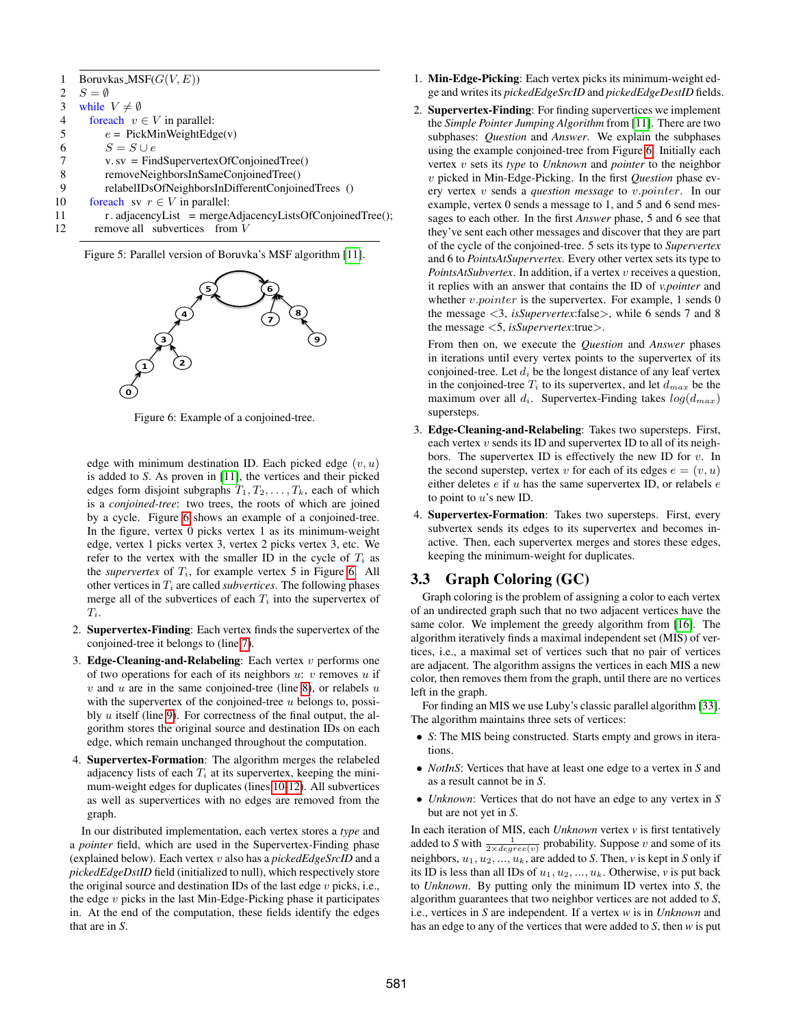```
1 Boruvkas_MSF(G(V, E))2 S = \emptyset3 while V \neq \emptyset4 for each v \in V in parallel:
5 e = \text{PickMinWeightEdge}(v)6 S = S \cup e7 v. sv = FindSupervertexOfConjoinedTree()
8 removeNeighborsInSameConjoinedTree()
9 relabelIDsOfNeighborsInDifferentConjoinedTrees ()
10 for each sv r \in V in parallel:
11 r. adjacencyList = mergeAdjacencyListsOfConjoinedTree();
12 remove all subvertices from V
```
<span id="page-4-7"></span><span id="page-4-6"></span><span id="page-4-5"></span><span id="page-4-4"></span><span id="page-4-2"></span>



Figure 6: Example of a conjoined-tree.

edge with minimum destination ID. Each picked edge  $(v, u)$ is added to *S*. As proven in [\[11\]](#page-11-9), the vertices and their picked edges form disjoint subgraphs  $T_1, T_2, \ldots, T_k$ , each of which is a *conjoined-tree*: two trees, the roots of which are joined by a cycle. Figure [6](#page-4-2) shows an example of a conjoined-tree. In the figure, vertex 0 picks vertex 1 as its minimum-weight edge, vertex 1 picks vertex 3, vertex 2 picks vertex 3, etc. We refer to the vertex with the smaller ID in the cycle of  $T_i$  as the *supervertex* of  $T_i$ , for example vertex 5 in Figure [6.](#page-4-2) All other vertices in  $T_i$  are called *subvertices*. The following phases merge all of the subvertices of each  $T_i$  into the supervertex of  $T_i$ .

- 2. Supervertex-Finding: Each vertex finds the supervertex of the conjoined-tree it belongs to (line [7\)](#page-4-3).
- 3. Edge-Cleaning-and-Relabeling: Each vertex  $v$  performs one of two operations for each of its neighbors  $u: v$  removes  $u$  if v and u are in the same conjoined-tree (line [8\)](#page-4-4), or relabels  $u$ with the supervertex of the conjoined-tree  $u$  belongs to, possibly  $u$  itself (line [9\)](#page-4-5). For correctness of the final output, the algorithm stores the original source and destination IDs on each edge, which remain unchanged throughout the computation.
- 4. Supervertex-Formation: The algorithm merges the relabeled adjacency lists of each  $T_i$  at its supervertex, keeping the minimum-weight edges for duplicates (lines [10](#page-4-6)[-12\)](#page-4-7). All subvertices as well as supervertices with no edges are removed from the graph.

In our distributed implementation, each vertex stores a *type* and a *pointer* field, which are used in the Supervertex-Finding phase (explained below). Each vertex v also has a *pickedEdgeSrcID* and a *pickedEdgeDstID* field (initialized to null), which respectively store the original source and destination IDs of the last edge  $v$  picks, i.e., the edge  $v$  picks in the last Min-Edge-Picking phase it participates in. At the end of the computation, these fields identify the edges that are in *S*.

- 1. Min-Edge-Picking: Each vertex picks its minimum-weight edge and writes its *pickedEdgeSrcID* and *pickedEdgeDestID* fields.
- 2. Supervertex-Finding: For finding supervertices we implement the *Simple Pointer Jumping Algorithm* from [\[11\]](#page-11-9). There are two subphases: *Question* and *Answer*. We explain the subphases using the example conjoined-tree from Figure [6.](#page-4-2) Initially each vertex v sets its *type* to *Unknown* and *pointer* to the neighbor v picked in Min-Edge-Picking. In the first *Question* phase every vertex v sends a *question message* to v.pointer. In our example, vertex 0 sends a message to 1, and 5 and 6 send messages to each other. In the first *Answer* phase, 5 and 6 see that they've sent each other messages and discover that they are part of the cycle of the conjoined-tree. 5 sets its type to *Supervertex* and 6 to *PointsAtSupervertex*. Every other vertex sets its type to *PointsAtSubvertex*. In addition, if a vertex v receives a question, it replies with an answer that contains the ID of *v.pointer* and whether  $v$ . pointer is the supervertex. For example, 1 sends 0 the message <3, *isSupervertex*:false>, while 6 sends 7 and 8 the message <5, *isSupervertex*:true>.

From then on, we execute the *Question* and *Answer* phases in iterations until every vertex points to the supervertex of its conjoined-tree. Let  $d_i$  be the longest distance of any leaf vertex in the conjoined-tree  $T_i$  to its supervertex, and let  $d_{max}$  be the maximum over all  $d_i$ . Supervertex-Finding takes  $log(d_{max})$ supersteps.

- 3. Edge-Cleaning-and-Relabeling: Takes two supersteps. First, each vertex  $v$  sends its ID and supervertex ID to all of its neighbors. The supervertex ID is effectively the new ID for  $v$ . In the second superstep, vertex v for each of its edges  $e = (v, u)$ either deletes  $e$  if  $u$  has the same supervertex ID, or relabels  $e$ to point to  $u$ 's new ID.
- 4. Supervertex-Formation: Takes two supersteps. First, every subvertex sends its edges to its supervertex and becomes inactive. Then, each supervertex merges and stores these edges, keeping the minimum-weight for duplicates.

### <span id="page-4-0"></span>3.3 Graph Coloring (GC)

Graph coloring is the problem of assigning a color to each vertex of an undirected graph such that no two adjacent vertices have the same color. We implement the greedy algorithm from [\[16\]](#page-11-23). The algorithm iteratively finds a maximal independent set (MIS) of vertices, i.e., a maximal set of vertices such that no pair of vertices are adjacent. The algorithm assigns the vertices in each MIS a new color, then removes them from the graph, until there are no vertices left in the graph.

For finding an MIS we use Luby's classic parallel algorithm [\[33\]](#page-11-10). The algorithm maintains three sets of vertices:

- *S*: The MIS being constructed. Starts empty and grows in iterations.
- *NotInS*: Vertices that have at least one edge to a vertex in *S* and as a result cannot be in *S*.
- *Unknown*: Vertices that do not have an edge to any vertex in *S* but are not yet in *S*.

In each iteration of MIS, each *Unknown* vertex *v* is first tentatively added to *S* with  $\frac{1}{2 \times degree(v)}$  probability. Suppose *v* and some of its neighbors,  $u_1, u_2, ..., u_k$ , are added to *S*. Then, *v* is kept in *S* only if its ID is less than all IDs of  $u_1, u_2, \ldots, u_k$ . Otherwise, *v* is put back to *Unknown*. By putting only the minimum ID vertex into *S*, the algorithm guarantees that two neighbor vertices are not added to *S*, i.e., vertices in *S* are independent. If a vertex *w* is in *Unknown* and has an edge to any of the vertices that were added to *S*, then *w* is put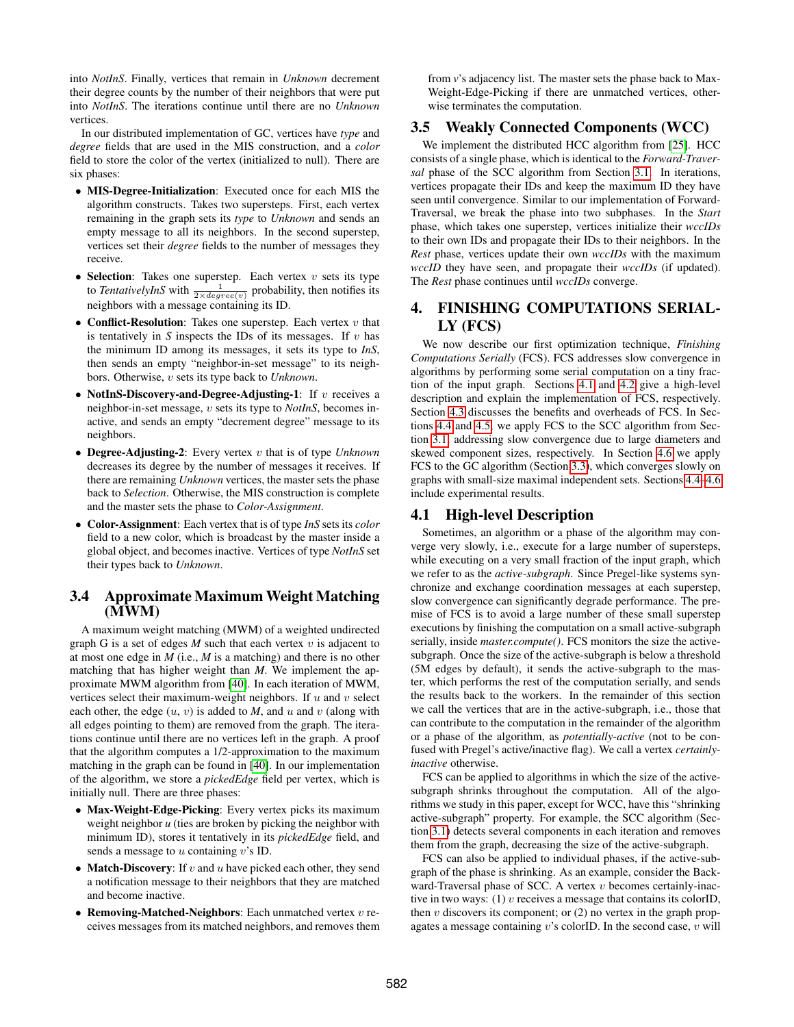into *NotInS*. Finally, vertices that remain in *Unknown* decrement their degree counts by the number of their neighbors that were put into *NotInS*. The iterations continue until there are no *Unknown* vertices.

In our distributed implementation of GC, vertices have *type* and *degree* fields that are used in the MIS construction, and a *color* field to store the color of the vertex (initialized to null). There are six phases:

- MIS-Degree-Initialization: Executed once for each MIS the algorithm constructs. Takes two supersteps. First, each vertex remaining in the graph sets its *type* to *Unknown* and sends an empty message to all its neighbors. In the second superstep, vertices set their *degree* fields to the number of messages they receive.
- Selection: Takes one superstep. Each vertex  $v$  sets its type to *TentativelyInS* with  $\frac{1}{2 \times degree(v)}$  probability, then notifies its neighbors with a message containing its ID.
- Conflict-Resolution: Takes one superstep. Each vertex  $v$  that is tentatively in  $S$  inspects the IDs of its messages. If  $v$  has the minimum ID among its messages, it sets its type to *InS*, then sends an empty "neighbor-in-set message" to its neighbors. Otherwise, v sets its type back to *Unknown*.
- NotInS-Discovery-and-Degree-Adjusting-1: If  $v$  receives a neighbor-in-set message, v sets its type to *NotInS*, becomes inactive, and sends an empty "decrement degree" message to its neighbors.
- Degree-Adjusting-2: Every vertex v that is of type *Unknown* decreases its degree by the number of messages it receives. If there are remaining *Unknown* vertices, the master sets the phase back to *Selection*. Otherwise, the MIS construction is complete and the master sets the phase to *Color-Assignment*.
- Color-Assignment: Each vertex that is of type *InS* sets its *color* field to a new color, which is broadcast by the master inside a global object, and becomes inactive. Vertices of type *NotInS* set their types back to *Unknown*.

### <span id="page-5-0"></span>3.4 Approximate Maximum Weight Matching (MWM)

A maximum weight matching (MWM) of a weighted undirected graph G is a set of edges  $M$  such that each vertex  $v$  is adjacent to at most one edge in *M* (i.e., *M* is a matching) and there is no other matching that has higher weight than *M*. We implement the approximate MWM algorithm from [\[40\]](#page-11-11). In each iteration of MWM, vertices select their maximum-weight neighbors. If  $u$  and  $v$  select each other, the edge  $(u, v)$  is added to  $M$ , and  $u$  and  $v$  (along with all edges pointing to them) are removed from the graph. The iterations continue until there are no vertices left in the graph. A proof that the algorithm computes a 1/2-approximation to the maximum matching in the graph can be found in [\[40\]](#page-11-11). In our implementation of the algorithm, we store a *pickedEdge* field per vertex, which is initially null. There are three phases:

- Max-Weight-Edge-Picking: Every vertex picks its maximum weight neighbor *u* (ties are broken by picking the neighbor with minimum ID), stores it tentatively in its *pickedEdge* field, and sends a message to  $u$  containing  $v$ 's ID.
- Match-Discovery: If  $v$  and  $u$  have picked each other, they send a notification message to their neighbors that they are matched and become inactive.
- Removing-Matched-Neighbors: Each unmatched vertex  $v$  receives messages from its matched neighbors, and removes them

from *v*'s adjacency list. The master sets the phase back to Max-Weight-Edge-Picking if there are unmatched vertices, otherwise terminates the computation.

#### <span id="page-5-1"></span>3.5 Weakly Connected Components (WCC)

We implement the distributed HCC algorithm from [\[25\]](#page-11-13). HCC consists of a single phase, which is identical to the *Forward-Traversal* phase of the SCC algorithm from Section [3.1.](#page-3-0) In iterations, vertices propagate their IDs and keep the maximum ID they have seen until convergence. Similar to our implementation of Forward-Traversal, we break the phase into two subphases. In the *Start* phase, which takes one superstep, vertices initialize their *wccIDs* to their own IDs and propagate their IDs to their neighbors. In the *Rest* phase, vertices update their own *wccIDs* with the maximum *wccID* they have seen, and propagate their *wccIDs* (if updated). The *Rest* phase continues until *wccIDs* converge.

# <span id="page-5-2"></span>4. FINISHING COMPUTATIONS SERIAL-LY (FCS)

We now describe our first optimization technique, *Finishing Computations Serially* (FCS). FCS addresses slow convergence in algorithms by performing some serial computation on a tiny fraction of the input graph. Sections [4.1](#page-5-3) and [4.2](#page-6-0) give a high-level description and explain the implementation of FCS, respectively. Section [4.3](#page-6-1) discusses the benefits and overheads of FCS. In Sections [4.4](#page-6-2) and [4.5,](#page-6-3) we apply FCS to the SCC algorithm from Section [3.1,](#page-3-0) addressing slow convergence due to large diameters and skewed component sizes, respectively. In Section [4.6](#page-7-1) we apply FCS to the GC algorithm (Section [3.3\)](#page-4-0), which converges slowly on graphs with small-size maximal independent sets. Sections [4.4–](#page-6-2)[4.6](#page-7-1) include experimental results.

### <span id="page-5-3"></span>4.1 High-level Description

Sometimes, an algorithm or a phase of the algorithm may converge very slowly, i.e., execute for a large number of supersteps, while executing on a very small fraction of the input graph, which we refer to as the *active-subgraph*. Since Pregel-like systems synchronize and exchange coordination messages at each superstep, slow convergence can significantly degrade performance. The premise of FCS is to avoid a large number of these small superstep executions by finishing the computation on a small active-subgraph serially, inside *master.compute()*. FCS monitors the size the activesubgraph. Once the size of the active-subgraph is below a threshold (5M edges by default), it sends the active-subgraph to the master, which performs the rest of the computation serially, and sends the results back to the workers. In the remainder of this section we call the vertices that are in the active-subgraph, i.e., those that can contribute to the computation in the remainder of the algorithm or a phase of the algorithm, as *potentially-active* (not to be confused with Pregel's active/inactive flag). We call a vertex *certainlyinactive* otherwise.

FCS can be applied to algorithms in which the size of the activesubgraph shrinks throughout the computation. All of the algorithms we study in this paper, except for WCC, have this "shrinking active-subgraph" property. For example, the SCC algorithm (Section [3.1\)](#page-3-0) detects several components in each iteration and removes them from the graph, decreasing the size of the active-subgraph.

FCS can also be applied to individual phases, if the active-subgraph of the phase is shrinking. As an example, consider the Backward-Traversal phase of SCC. A vertex  $v$  becomes certainly-inactive in two ways:  $(1)$  v receives a message that contains its colorID, then  $v$  discovers its component; or  $(2)$  no vertex in the graph propagates a message containing  $v$ 's colorID. In the second case,  $v$  will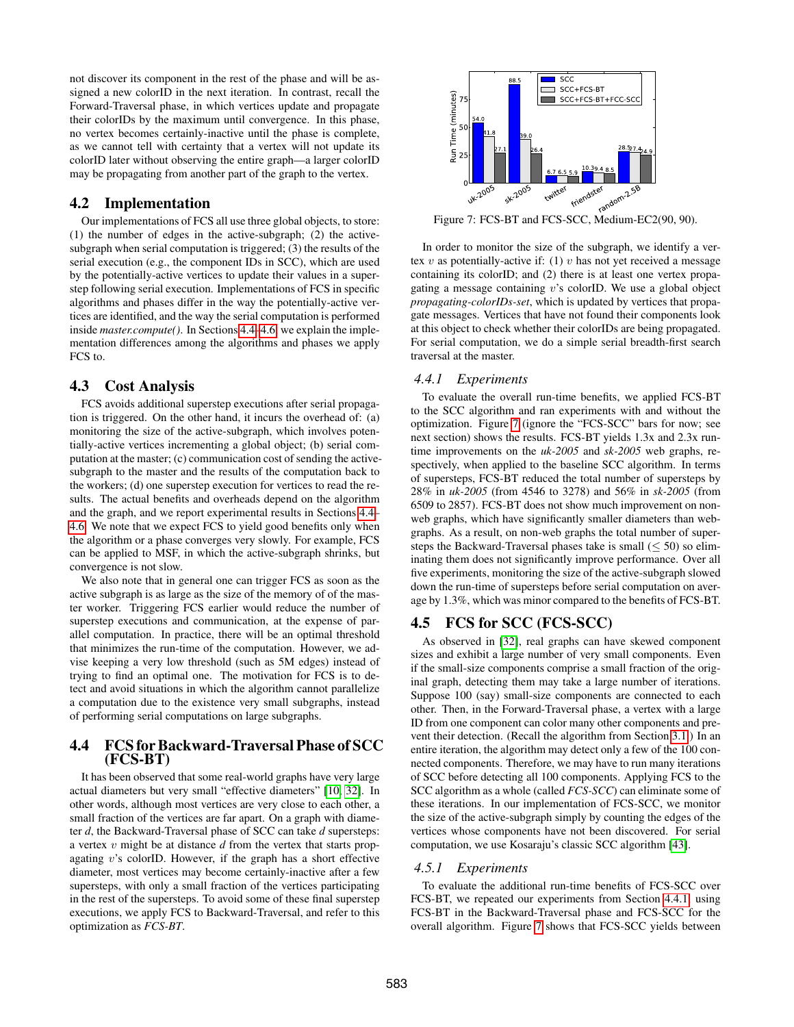not discover its component in the rest of the phase and will be assigned a new colorID in the next iteration. In contrast, recall the Forward-Traversal phase, in which vertices update and propagate their colorIDs by the maximum until convergence. In this phase, no vertex becomes certainly-inactive until the phase is complete, as we cannot tell with certainty that a vertex will not update its colorID later without observing the entire graph—a larger colorID may be propagating from another part of the graph to the vertex.

### <span id="page-6-0"></span>4.2 Implementation

Our implementations of FCS all use three global objects, to store: (1) the number of edges in the active-subgraph; (2) the activesubgraph when serial computation is triggered; (3) the results of the serial execution (e.g., the component IDs in SCC), which are used by the potentially-active vertices to update their values in a superstep following serial execution. Implementations of FCS in specific algorithms and phases differ in the way the potentially-active vertices are identified, and the way the serial computation is performed inside *master.compute()*. In Sections [4.4–](#page-6-2)[4.6,](#page-7-1) we explain the implementation differences among the algorithms and phases we apply FCS to.

#### <span id="page-6-1"></span>4.3 Cost Analysis

FCS avoids additional superstep executions after serial propagation is triggered. On the other hand, it incurs the overhead of: (a) monitoring the size of the active-subgraph, which involves potentially-active vertices incrementing a global object; (b) serial computation at the master; (c) communication cost of sending the activesubgraph to the master and the results of the computation back to the workers; (d) one superstep execution for vertices to read the results. The actual benefits and overheads depend on the algorithm and the graph, and we report experimental results in Sections [4.4–](#page-6-2) [4.6.](#page-7-1) We note that we expect FCS to yield good benefits only when the algorithm or a phase converges very slowly. For example, FCS can be applied to MSF, in which the active-subgraph shrinks, but convergence is not slow.

We also note that in general one can trigger FCS as soon as the active subgraph is as large as the size of the memory of of the master worker. Triggering FCS earlier would reduce the number of superstep executions and communication, at the expense of parallel computation. In practice, there will be an optimal threshold that minimizes the run-time of the computation. However, we advise keeping a very low threshold (such as 5M edges) instead of trying to find an optimal one. The motivation for FCS is to detect and avoid situations in which the algorithm cannot parallelize a computation due to the existence very small subgraphs, instead of performing serial computations on large subgraphs.

### <span id="page-6-2"></span>4.4 FCS for Backward-Traversal Phase of SCC (FCS-BT)

It has been observed that some real-world graphs have very large actual diameters but very small "effective diameters" [\[10,](#page-11-24) [32\]](#page-11-25). In other words, although most vertices are very close to each other, a small fraction of the vertices are far apart. On a graph with diameter *d*, the Backward-Traversal phase of SCC can take *d* supersteps: a vertex v might be at distance *d* from the vertex that starts propagating  $v$ 's colorID. However, if the graph has a short effective diameter, most vertices may become certainly-inactive after a few supersteps, with only a small fraction of the vertices participating in the rest of the supersteps. To avoid some of these final superstep executions, we apply FCS to Backward-Traversal, and refer to this optimization as *FCS-BT*.

<span id="page-6-4"></span>

In order to monitor the size of the subgraph, we identify a vertex  $v$  as potentially-active if: (1)  $v$  has not yet received a message containing its colorID; and (2) there is at least one vertex propagating a message containing v's colorID. We use a global object *propagating-colorIDs-set*, which is updated by vertices that propagate messages. Vertices that have not found their components look at this object to check whether their colorIDs are being propagated. For serial computation, we do a simple serial breadth-first search traversal at the master.

#### <span id="page-6-5"></span>*4.4.1 Experiments*

To evaluate the overall run-time benefits, we applied FCS-BT to the SCC algorithm and ran experiments with and without the optimization. Figure [7](#page-6-4) (ignore the "FCS-SCC" bars for now; see next section) shows the results. FCS-BT yields 1.3x and 2.3x runtime improvements on the *uk-2005* and *sk-2005* web graphs, respectively, when applied to the baseline SCC algorithm. In terms of supersteps, FCS-BT reduced the total number of supersteps by 28% in *uk-2005* (from 4546 to 3278) and 56% in *sk-2005* (from 6509 to 2857). FCS-BT does not show much improvement on nonweb graphs, which have significantly smaller diameters than webgraphs. As a result, on non-web graphs the total number of supersteps the Backward-Traversal phases take is small  $(\leq 50)$  so eliminating them does not significantly improve performance. Over all five experiments, monitoring the size of the active-subgraph slowed down the run-time of supersteps before serial computation on average by 1.3%, which was minor compared to the benefits of FCS-BT.

#### <span id="page-6-3"></span>4.5 FCS for SCC (FCS-SCC)

As observed in [\[32\]](#page-11-25), real graphs can have skewed component sizes and exhibit a large number of very small components. Even if the small-size components comprise a small fraction of the original graph, detecting them may take a large number of iterations. Suppose 100 (say) small-size components are connected to each other. Then, in the Forward-Traversal phase, a vertex with a large ID from one component can color many other components and prevent their detection. (Recall the algorithm from Section [3.1.](#page-3-0)) In an entire iteration, the algorithm may detect only a few of the 100 connected components. Therefore, we may have to run many iterations of SCC before detecting all 100 components. Applying FCS to the SCC algorithm as a whole (called *FCS-SCC*) can eliminate some of these iterations. In our implementation of FCS-SCC, we monitor the size of the active-subgraph simply by counting the edges of the vertices whose components have not been discovered. For serial computation, we use Kosaraju's classic SCC algorithm [\[43\]](#page-11-26).

#### <span id="page-6-6"></span>*4.5.1 Experiments*

To evaluate the additional run-time benefits of FCS-SCC over FCS-BT, we repeated our experiments from Section [4.4.1,](#page-6-5) using FCS-BT in the Backward-Traversal phase and FCS-SCC for the overall algorithm. Figure [7](#page-6-4) shows that FCS-SCC yields between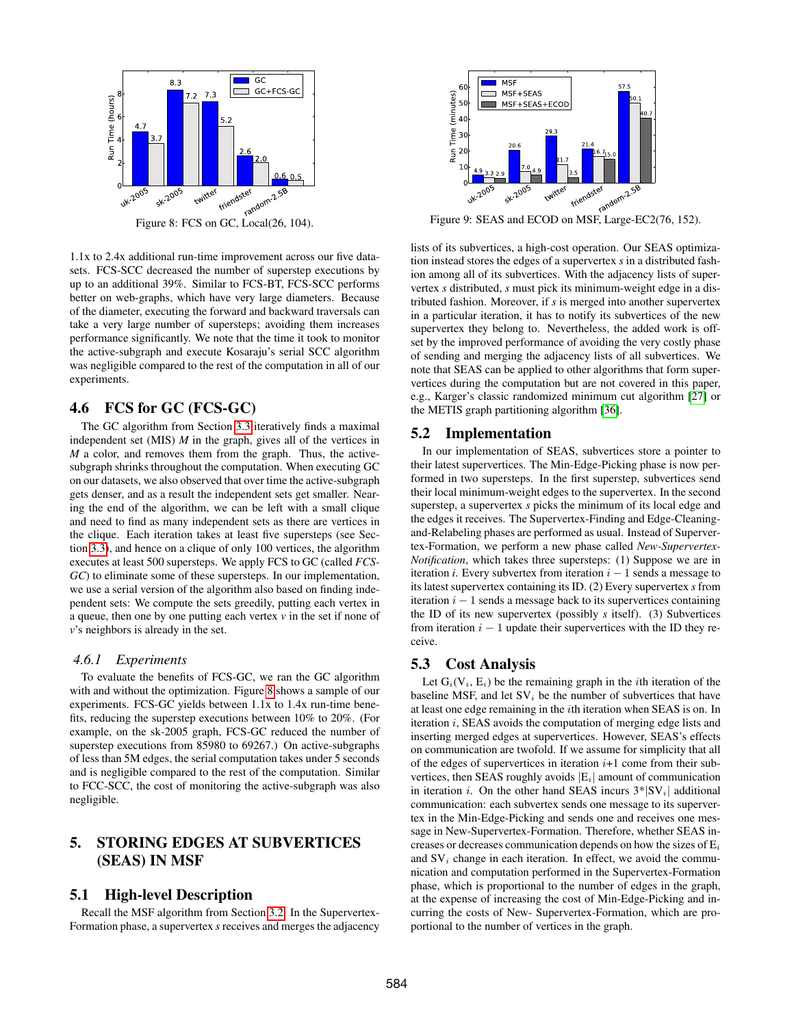<span id="page-7-2"></span>

1.1x to 2.4x additional run-time improvement across our five datasets. FCS-SCC decreased the number of superstep executions by up to an additional 39%. Similar to FCS-BT, FCS-SCC performs better on web-graphs, which have very large diameters. Because of the diameter, executing the forward and backward traversals can take a very large number of supersteps; avoiding them increases performance significantly. We note that the time it took to monitor the active-subgraph and execute Kosaraju's serial SCC algorithm was negligible compared to the rest of the computation in all of our experiments.

### <span id="page-7-1"></span>4.6 FCS for GC (FCS-GC)

The GC algorithm from Section [3.3](#page-4-0) iteratively finds a maximal independent set (MIS) *M* in the graph, gives all of the vertices in *M* a color, and removes them from the graph. Thus, the activesubgraph shrinks throughout the computation. When executing GC on our datasets, we also observed that over time the active-subgraph gets denser, and as a result the independent sets get smaller. Nearing the end of the algorithm, we can be left with a small clique and need to find as many independent sets as there are vertices in the clique. Each iteration takes at least five supersteps (see Section [3.3\)](#page-4-0), and hence on a clique of only 100 vertices, the algorithm executes at least 500 supersteps. We apply FCS to GC (called *FCS-GC*) to eliminate some of these supersteps. In our implementation, we use a serial version of the algorithm also based on finding independent sets: We compute the sets greedily, putting each vertex in a queue, then one by one putting each vertex *v* in the set if none of *v*'s neighbors is already in the set.

#### *4.6.1 Experiments*

To evaluate the benefits of FCS-GC, we ran the GC algorithm with and without the optimization. Figure [8](#page-7-2) shows a sample of our experiments. FCS-GC yields between 1.1x to 1.4x run-time benefits, reducing the superstep executions between 10% to 20%. (For example, on the sk-2005 graph, FCS-GC reduced the number of superstep executions from 85980 to 69267.) On active-subgraphs of less than 5M edges, the serial computation takes under 5 seconds and is negligible compared to the rest of the computation. Similar to FCC-SCC, the cost of monitoring the active-subgraph was also negligible.

# <span id="page-7-0"></span>5. STORING EDGES AT SUBVERTICES (SEAS) IN MSF

# 5.1 High-level Description

Recall the MSF algorithm from Section [3.2.](#page-3-1) In the Supervertex-Formation phase, a supervertex *s* receives and merges the adjacency

<span id="page-7-3"></span>

lists of its subvertices, a high-cost operation. Our SEAS optimization instead stores the edges of a supervertex *s* in a distributed fashion among all of its subvertices. With the adjacency lists of supervertex *s* distributed, *s* must pick its minimum-weight edge in a distributed fashion. Moreover, if *s* is merged into another supervertex in a particular iteration, it has to notify its subvertices of the new supervertex they belong to. Nevertheless, the added work is offset by the improved performance of avoiding the very costly phase of sending and merging the adjacency lists of all subvertices. We note that SEAS can be applied to other algorithms that form supervertices during the computation but are not covered in this paper, e.g., Karger's classic randomized minimum cut algorithm [\[27\]](#page-11-27) or the METIS graph partitioning algorithm [\[36\]](#page-11-28).

#### 5.2 Implementation

In our implementation of SEAS, subvertices store a pointer to their latest supervertices. The Min-Edge-Picking phase is now performed in two supersteps. In the first superstep, subvertices send their local minimum-weight edges to the supervertex. In the second superstep, a supervertex *s* picks the minimum of its local edge and the edges it receives. The Supervertex-Finding and Edge-Cleaningand-Relabeling phases are performed as usual. Instead of Supervertex-Formation, we perform a new phase called *New-Supervertex-Notification*, which takes three supersteps: (1) Suppose we are in iteration *i*. Every subvertex from iteration  $i - 1$  sends a message to its latest supervertex containing its ID. (2) Every supervertex *s* from iteration  $i - 1$  sends a message back to its supervertices containing the ID of its new supervertex (possibly *s* itself). (3) Subvertices from iteration  $i - 1$  update their supervertices with the ID they receive.

### 5.3 Cost Analysis

Let  $G_i(V_i, E_i)$  be the remaining graph in the *i*th iteration of the baseline MSF, and let  $SV_i$  be the number of subvertices that have at least one edge remaining in the ith iteration when SEAS is on. In iteration i, SEAS avoids the computation of merging edge lists and inserting merged edges at supervertices. However, SEAS's effects on communication are twofold. If we assume for simplicity that all of the edges of supervertices in iteration  $i+1$  come from their subvertices, then SEAS roughly avoids  $|E_i|$  amount of communication in iteration *i*. On the other hand SEAS incurs  $3^*|SV_i|$  additional communication: each subvertex sends one message to its supervertex in the Min-Edge-Picking and sends one and receives one message in New-Supervertex-Formation. Therefore, whether SEAS increases or decreases communication depends on how the sizes of  $E_i$ and  $SV_i$  change in each iteration. In effect, we avoid the communication and computation performed in the Supervertex-Formation phase, which is proportional to the number of edges in the graph, at the expense of increasing the cost of Min-Edge-Picking and incurring the costs of New- Supervertex-Formation, which are proportional to the number of vertices in the graph.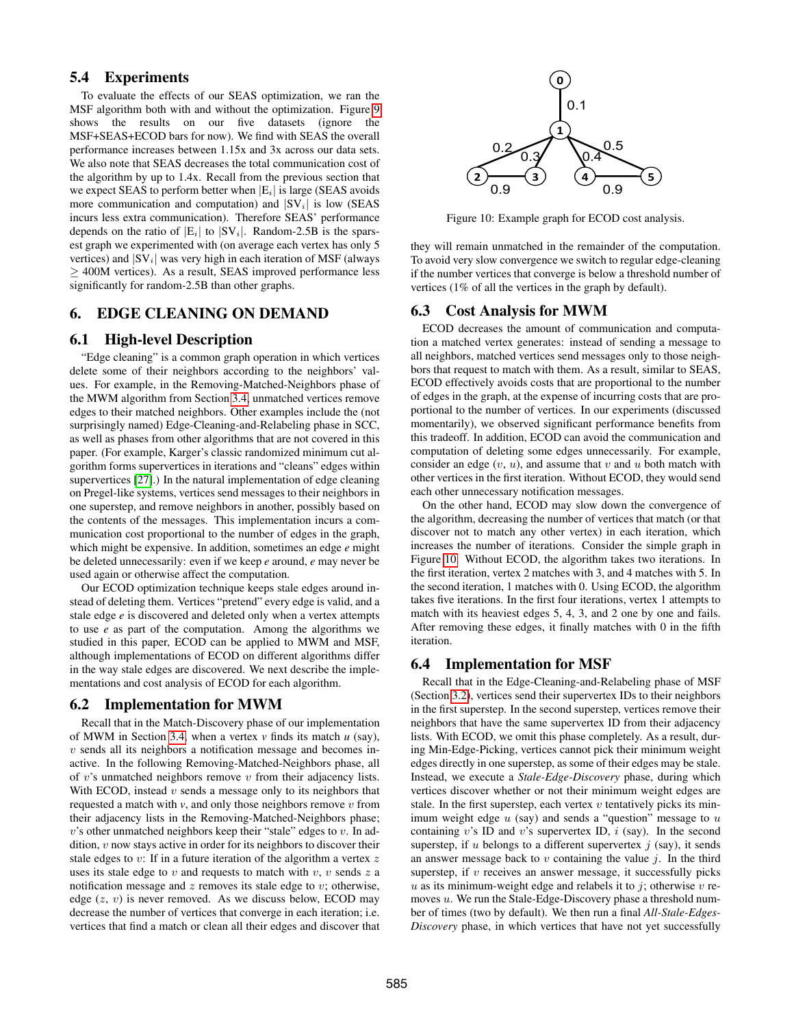### 5.4 Experiments

To evaluate the effects of our SEAS optimization, we ran the MSF algorithm both with and without the optimization. Figure [9](#page-7-3) shows the results on our five datasets (ignore the MSF+SEAS+ECOD bars for now). We find with SEAS the overall performance increases between 1.15x and 3x across our data sets. We also note that SEAS decreases the total communication cost of the algorithm by up to 1.4x. Recall from the previous section that we expect SEAS to perform better when  $|E_i|$  is large (SEAS avoids more communication and computation) and  $|SV_i|$  is low (SEAS incurs less extra communication). Therefore SEAS' performance depends on the ratio of  $|E_i|$  to  $|SV_i|$ . Random-2.5B is the sparsest graph we experimented with (on average each vertex has only 5 vertices) and  $|SV_i|$  was very high in each iteration of MSF (always  $\geq$  400M vertices). As a result, SEAS improved performance less significantly for random-2.5B than other graphs.

### <span id="page-8-0"></span>6. EDGE CLEANING ON DEMAND

#### 6.1 High-level Description

"Edge cleaning" is a common graph operation in which vertices delete some of their neighbors according to the neighbors' values. For example, in the Removing-Matched-Neighbors phase of the MWM algorithm from Section [3.4,](#page-5-0) unmatched vertices remove edges to their matched neighbors. Other examples include the (not surprisingly named) Edge-Cleaning-and-Relabeling phase in SCC, as well as phases from other algorithms that are not covered in this paper. (For example, Karger's classic randomized minimum cut algorithm forms supervertices in iterations and "cleans" edges within supervertices [\[27\]](#page-11-27).) In the natural implementation of edge cleaning on Pregel-like systems, vertices send messages to their neighbors in one superstep, and remove neighbors in another, possibly based on the contents of the messages. This implementation incurs a communication cost proportional to the number of edges in the graph, which might be expensive. In addition, sometimes an edge *e* might be deleted unnecessarily: even if we keep *e* around, *e* may never be used again or otherwise affect the computation.

Our ECOD optimization technique keeps stale edges around instead of deleting them. Vertices "pretend" every edge is valid, and a stale edge *e* is discovered and deleted only when a vertex attempts to use *e* as part of the computation. Among the algorithms we studied in this paper, ECOD can be applied to MWM and MSF, although implementations of ECOD on different algorithms differ in the way stale edges are discovered. We next describe the implementations and cost analysis of ECOD for each algorithm.

### 6.2 Implementation for MWM

Recall that in the Match-Discovery phase of our implementation of MWM in Section [3.4,](#page-5-0) when a vertex *v* finds its match *u* (say),  $v$  sends all its neighbors a notification message and becomes inactive. In the following Removing-Matched-Neighbors phase, all of  $v$ 's unmatched neighbors remove  $v$  from their adjacency lists. With ECOD, instead  $v$  sends a message only to its neighbors that requested a match with *v*, and only those neighbors remove v from their adjacency lists in the Removing-Matched-Neighbors phase;  $v$ 's other unmatched neighbors keep their "stale" edges to  $v$ . In addition,  $v$  now stays active in order for its neighbors to discover their stale edges to  $v$ : If in a future iteration of the algorithm a vertex  $z$ uses its stale edge to  $v$  and requests to match with  $v, v$  sends  $z$  a notification message and  $z$  removes its stale edge to  $v$ ; otherwise, edge  $(z, v)$  is never removed. As we discuss below, ECOD may decrease the number of vertices that converge in each iteration; i.e. vertices that find a match or clean all their edges and discover that

<span id="page-8-1"></span>

Figure 10: Example graph for ECOD cost analysis.

they will remain unmatched in the remainder of the computation. To avoid very slow convergence we switch to regular edge-cleaning if the number vertices that converge is below a threshold number of vertices (1% of all the vertices in the graph by default).

#### 6.3 Cost Analysis for MWM

ECOD decreases the amount of communication and computation a matched vertex generates: instead of sending a message to all neighbors, matched vertices send messages only to those neighbors that request to match with them. As a result, similar to SEAS, ECOD effectively avoids costs that are proportional to the number of edges in the graph, at the expense of incurring costs that are proportional to the number of vertices. In our experiments (discussed momentarily), we observed significant performance benefits from this tradeoff. In addition, ECOD can avoid the communication and computation of deleting some edges unnecessarily. For example, consider an edge  $(v, u)$ , and assume that v and u both match with other vertices in the first iteration. Without ECOD, they would send each other unnecessary notification messages.

On the other hand, ECOD may slow down the convergence of the algorithm, decreasing the number of vertices that match (or that discover not to match any other vertex) in each iteration, which increases the number of iterations. Consider the simple graph in Figure [10.](#page-8-1) Without ECOD, the algorithm takes two iterations. In the first iteration, vertex 2 matches with 3, and 4 matches with 5. In the second iteration, 1 matches with 0. Using ECOD, the algorithm takes five iterations. In the first four iterations, vertex 1 attempts to match with its heaviest edges 5, 4, 3, and 2 one by one and fails. After removing these edges, it finally matches with 0 in the fifth iteration.

#### 6.4 Implementation for MSF

Recall that in the Edge-Cleaning-and-Relabeling phase of MSF (Section [3.2\)](#page-3-1), vertices send their supervertex IDs to their neighbors in the first superstep. In the second superstep, vertices remove their neighbors that have the same supervertex ID from their adjacency lists. With ECOD, we omit this phase completely. As a result, during Min-Edge-Picking, vertices cannot pick their minimum weight edges directly in one superstep, as some of their edges may be stale. Instead, we execute a *Stale-Edge-Discovery* phase, during which vertices discover whether or not their minimum weight edges are stale. In the first superstep, each vertex  $v$  tentatively picks its minimum weight edge  $u$  (say) and sends a "question" message to  $u$ containing v's ID and v's supervertex ID,  $i$  (say). In the second superstep, if u belongs to a different supervertex  $j$  (say), it sends an answer message back to  $v$  containing the value  $j$ . In the third superstep, if  $v$  receives an answer message, it successfully picks u as its minimum-weight edge and relabels it to j; otherwise  $v$  removes  $u$ . We run the Stale-Edge-Discovery phase a threshold number of times (two by default). We then run a final *All-Stale-Edges-Discovery* phase, in which vertices that have not yet successfully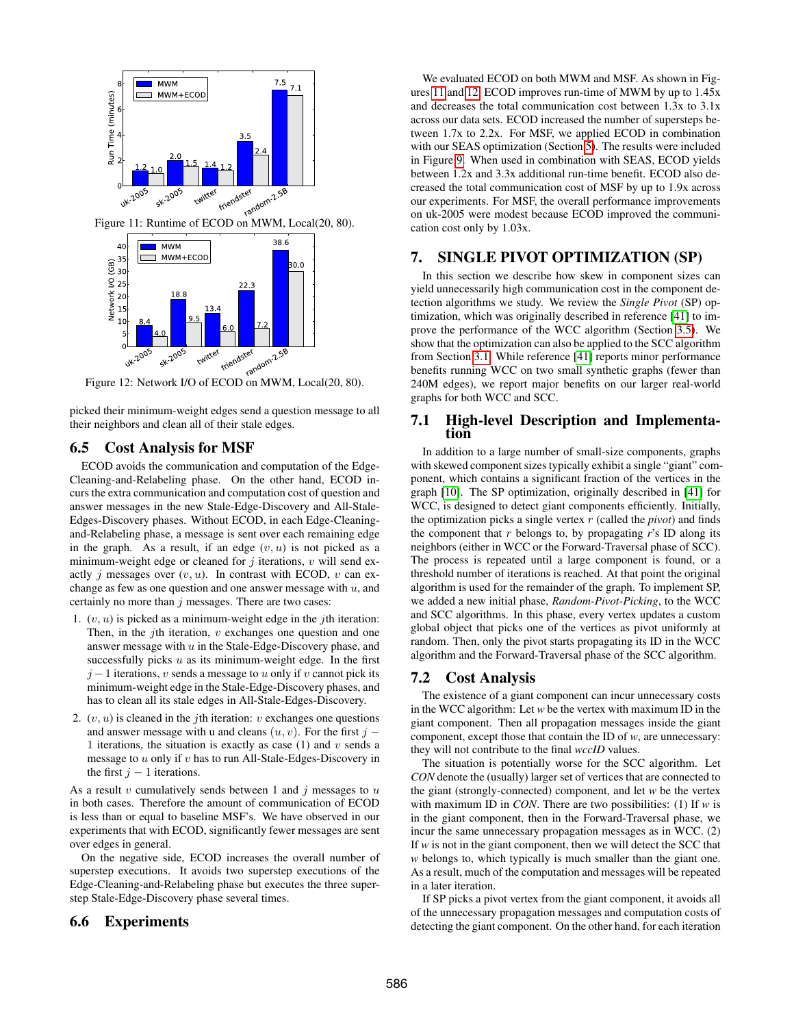<span id="page-9-1"></span>

<span id="page-9-2"></span>

picked their minimum-weight edges send a question message to all their neighbors and clean all of their stale edges.

### 6.5 Cost Analysis for MSF

ECOD avoids the communication and computation of the Edge-Cleaning-and-Relabeling phase. On the other hand, ECOD incurs the extra communication and computation cost of question and answer messages in the new Stale-Edge-Discovery and All-Stale-Edges-Discovery phases. Without ECOD, in each Edge-Cleaningand-Relabeling phase, a message is sent over each remaining edge in the graph. As a result, if an edge  $(v, u)$  is not picked as a minimum-weight edge or cleaned for  $j$  iterations,  $v$  will send exactly *j* messages over  $(v, u)$ . In contrast with ECOD, *v* can exchange as few as one question and one answer message with  $u$ , and certainly no more than  $j$  messages. There are two cases:

- 1.  $(v, u)$  is picked as a minimum-weight edge in the *j*th iteration: Then, in the *j*th iteration,  $v$  exchanges one question and one answer message with  $u$  in the Stale-Edge-Discovery phase, and successfully picks  $u$  as its minimum-weight edge. In the first  $j-1$  iterations, v sends a message to u only if v cannot pick its minimum-weight edge in the Stale-Edge-Discovery phases, and has to clean all its stale edges in All-Stale-Edges-Discovery.
- 2.  $(v, u)$  is cleaned in the *j*th iteration: *v* exchanges one questions and answer message with u and cleans  $(u, v)$ . For the first j – 1 iterations, the situation is exactly as case  $(1)$  and v sends a message to  $u$  only if  $v$  has to run All-Stale-Edges-Discovery in the first  $j - 1$  iterations.

As a result  $v$  cumulatively sends between 1 and  $j$  messages to  $u$ in both cases. Therefore the amount of communication of ECOD is less than or equal to baseline MSF's. We have observed in our experiments that with ECOD, significantly fewer messages are sent over edges in general.

On the negative side, ECOD increases the overall number of superstep executions. It avoids two superstep executions of the Edge-Cleaning-and-Relabeling phase but executes the three superstep Stale-Edge-Discovery phase several times.

### 6.6 Experiments

We evaluated ECOD on both MWM and MSF. As shown in Figures [11](#page-9-1) and [12,](#page-9-2) ECOD improves run-time of MWM by up to 1.45x and decreases the total communication cost between 1.3x to 3.1x across our data sets. ECOD increased the number of supersteps between 1.7x to 2.2x. For MSF, we applied ECOD in combination with our SEAS optimization (Section [5\)](#page-7-0). The results were included in Figure [9.](#page-7-3) When used in combination with SEAS, ECOD yields between 1.2x and 3.3x additional run-time benefit. ECOD also decreased the total communication cost of MSF by up to 1.9x across our experiments. For MSF, the overall performance improvements on uk-2005 were modest because ECOD improved the communication cost only by 1.03x.

# <span id="page-9-0"></span>7. SINGLE PIVOT OPTIMIZATION (SP)

In this section we describe how skew in component sizes can yield unnecessarily high communication cost in the component detection algorithms we study. We review the *Single Pivot* (SP) optimization, which was originally described in reference [\[41\]](#page-11-16) to improve the performance of the WCC algorithm (Section [3.5\)](#page-5-1). We show that the optimization can also be applied to the SCC algorithm from Section [3.1.](#page-3-0) While reference [\[41\]](#page-11-16) reports minor performance benefits running WCC on two small synthetic graphs (fewer than 240M edges), we report major benefits on our larger real-world graphs for both WCC and SCC.

### 7.1 High-level Description and Implementation

In addition to a large number of small-size components, graphs with skewed component sizes typically exhibit a single "giant" component, which contains a significant fraction of the vertices in the graph [\[10\]](#page-11-24). The SP optimization, originally described in [\[41\]](#page-11-16) for WCC, is designed to detect giant components efficiently. Initially, the optimization picks a single vertex r (called the *pivot*) and finds the component that  $r$  belongs to, by propagating  $r$ 's ID along its neighbors (either in WCC or the Forward-Traversal phase of SCC). The process is repeated until a large component is found, or a threshold number of iterations is reached. At that point the original algorithm is used for the remainder of the graph. To implement SP, we added a new initial phase, *Random-Pivot-Picking*, to the WCC and SCC algorithms. In this phase, every vertex updates a custom global object that picks one of the vertices as pivot uniformly at random. Then, only the pivot starts propagating its ID in the WCC algorithm and the Forward-Traversal phase of the SCC algorithm.

# 7.2 Cost Analysis

The existence of a giant component can incur unnecessary costs in the WCC algorithm: Let *w* be the vertex with maximum ID in the giant component. Then all propagation messages inside the giant component, except those that contain the ID of *w*, are unnecessary: they will not contribute to the final *wccID* values.

The situation is potentially worse for the SCC algorithm. Let *CON* denote the (usually) larger set of vertices that are connected to the giant (strongly-connected) component, and let *w* be the vertex with maximum ID in *CON*. There are two possibilities: (1) If *w* is in the giant component, then in the Forward-Traversal phase, we incur the same unnecessary propagation messages as in WCC. (2) If *w* is not in the giant component, then we will detect the SCC that *w* belongs to, which typically is much smaller than the giant one. As a result, much of the computation and messages will be repeated in a later iteration.

If SP picks a pivot vertex from the giant component, it avoids all of the unnecessary propagation messages and computation costs of detecting the giant component. On the other hand, for each iteration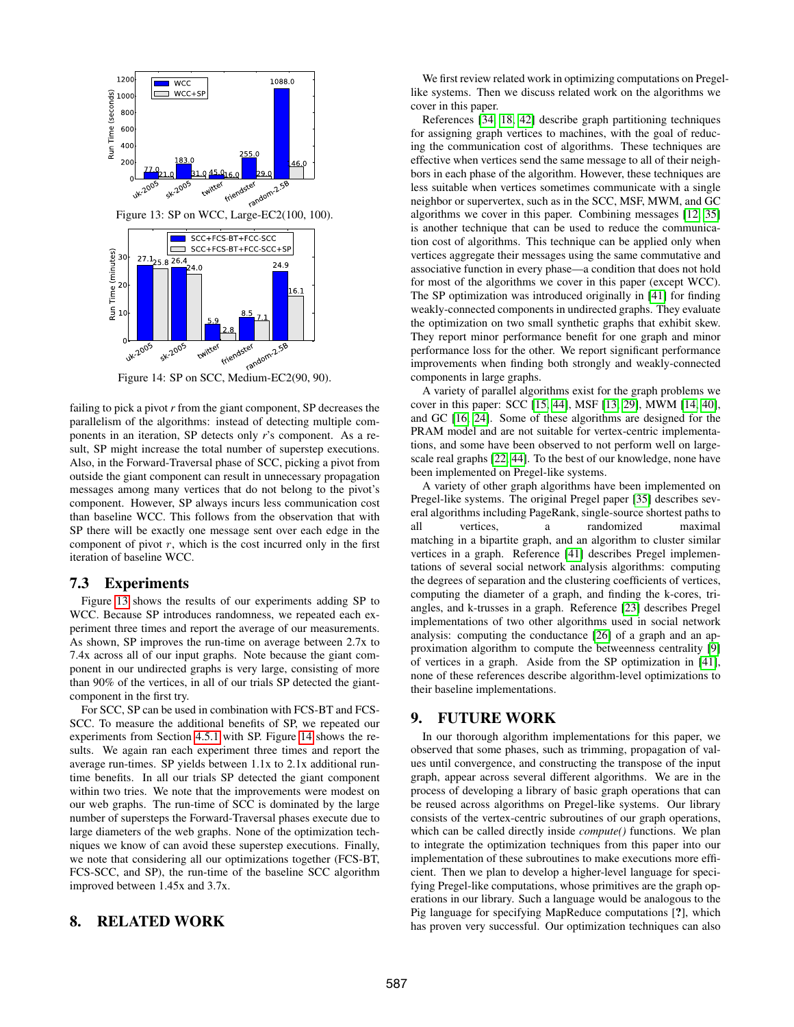<span id="page-10-3"></span><span id="page-10-2"></span>

failing to pick a pivot *r* from the giant component, SP decreases the parallelism of the algorithms: instead of detecting multiple components in an iteration, SP detects only *r*'s component. As a result, SP might increase the total number of superstep executions. Also, in the Forward-Traversal phase of SCC, picking a pivot from outside the giant component can result in unnecessary propagation messages among many vertices that do not belong to the pivot's component. However, SP always incurs less communication cost than baseline WCC. This follows from the observation that with SP there will be exactly one message sent over each edge in the component of pivot  $r$ , which is the cost incurred only in the first iteration of baseline WCC.

#### 7.3 Experiments

Figure [13](#page-10-2) shows the results of our experiments adding SP to WCC. Because SP introduces randomness, we repeated each experiment three times and report the average of our measurements. As shown, SP improves the run-time on average between 2.7x to 7.4x across all of our input graphs. Note because the giant component in our undirected graphs is very large, consisting of more than 90% of the vertices, in all of our trials SP detected the giantcomponent in the first try.

For SCC, SP can be used in combination with FCS-BT and FCS-SCC. To measure the additional benefits of SP, we repeated our experiments from Section [4.5.1](#page-6-6) with SP. Figure [14](#page-10-3) shows the results. We again ran each experiment three times and report the average run-times. SP yields between 1.1x to 2.1x additional runtime benefits. In all our trials SP detected the giant component within two tries. We note that the improvements were modest on our web graphs. The run-time of SCC is dominated by the large number of supersteps the Forward-Traversal phases execute due to large diameters of the web graphs. None of the optimization techniques we know of can avoid these superstep executions. Finally, we note that considering all our optimizations together (FCS-BT, FCS-SCC, and SP), the run-time of the baseline SCC algorithm improved between 1.45x and 3.7x.

### <span id="page-10-0"></span>8. RELATED WORK

We first review related work in optimizing computations on Pregellike systems. Then we discuss related work on the algorithms we cover in this paper.

References [\[34,](#page-11-14) [18,](#page-11-15) [42\]](#page-11-5) describe graph partitioning techniques for assigning graph vertices to machines, with the goal of reducing the communication cost of algorithms. These techniques are effective when vertices send the same message to all of their neighbors in each phase of the algorithm. However, these techniques are less suitable when vertices sometimes communicate with a single neighbor or supervertex, such as in the SCC, MSF, MWM, and GC algorithms we cover in this paper. Combining messages [\[12,](#page-11-6) [35\]](#page-11-3) is another technique that can be used to reduce the communication cost of algorithms. This technique can be applied only when vertices aggregate their messages using the same commutative and associative function in every phase—a condition that does not hold for most of the algorithms we cover in this paper (except WCC). The SP optimization was introduced originally in [\[41\]](#page-11-16) for finding weakly-connected components in undirected graphs. They evaluate the optimization on two small synthetic graphs that exhibit skew. They report minor performance benefit for one graph and minor performance loss for the other. We report significant performance improvements when finding both strongly and weakly-connected components in large graphs.

A variety of parallel algorithms exist for the graph problems we cover in this paper: SCC [\[15,](#page-11-29) [44\]](#page-11-30), MSF [\[13,](#page-11-31) [29\]](#page-11-32), MWM [\[14,](#page-11-33) [40\]](#page-11-11), and GC [\[16,](#page-11-23) [24\]](#page-11-34). Some of these algorithms are designed for the PRAM model and are not suitable for vertex-centric implementations, and some have been observed to not perform well on largescale real graphs [\[22,](#page-11-35) [44\]](#page-11-30). To the best of our knowledge, none have been implemented on Pregel-like systems.

A variety of other graph algorithms have been implemented on Pregel-like systems. The original Pregel paper [\[35\]](#page-11-3) describes several algorithms including PageRank, single-source shortest paths to all vertices, a randomized maximal matching in a bipartite graph, and an algorithm to cluster similar vertices in a graph. Reference [\[41\]](#page-11-16) describes Pregel implementations of several social network analysis algorithms: computing the degrees of separation and the clustering coefficients of vertices, computing the diameter of a graph, and finding the k-cores, triangles, and k-trusses in a graph. Reference [\[23\]](#page-11-36) describes Pregel implementations of two other algorithms used in social network analysis: computing the conductance [\[26\]](#page-11-37) of a graph and an approximation algorithm to compute the betweenness centrality [\[9\]](#page-11-38) of vertices in a graph. Aside from the SP optimization in [\[41\]](#page-11-16), none of these references describe algorithm-level optimizations to their baseline implementations.

### <span id="page-10-1"></span>9. FUTURE WORK

In our thorough algorithm implementations for this paper, we observed that some phases, such as trimming, propagation of values until convergence, and constructing the transpose of the input graph, appear across several different algorithms. We are in the process of developing a library of basic graph operations that can be reused across algorithms on Pregel-like systems. Our library consists of the vertex-centric subroutines of our graph operations, which can be called directly inside *compute()* functions. We plan to integrate the optimization techniques from this paper into our implementation of these subroutines to make executions more efficient. Then we plan to develop a higher-level language for specifying Pregel-like computations, whose primitives are the graph operations in our library. Such a language would be analogous to the Pig language for specifying MapReduce computations [?], which has proven very successful. Our optimization techniques can also